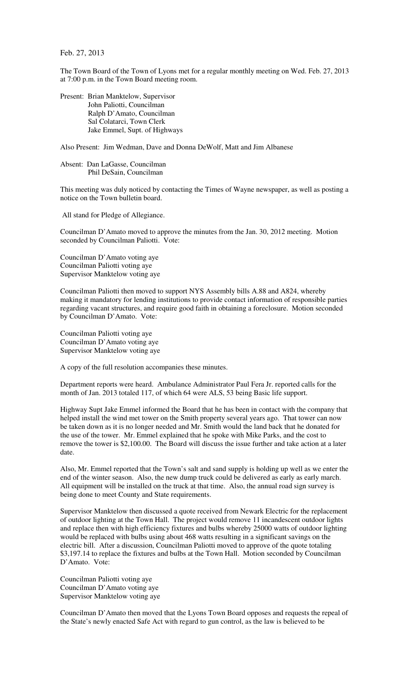Feb. 27, 2013

The Town Board of the Town of Lyons met for a regular monthly meeting on Wed. Feb. 27, 2013 at 7:00 p.m. in the Town Board meeting room.

Present: Brian Manktelow, Supervisor John Paliotti, Councilman Ralph D'Amato, Councilman Sal Colatarci, Town Clerk Jake Emmel, Supt. of Highways

Also Present: Jim Wedman, Dave and Donna DeWolf, Matt and Jim Albanese

Absent: Dan LaGasse, Councilman Phil DeSain, Councilman

This meeting was duly noticed by contacting the Times of Wayne newspaper, as well as posting a notice on the Town bulletin board.

All stand for Pledge of Allegiance.

Councilman D'Amato moved to approve the minutes from the Jan. 30, 2012 meeting. Motion seconded by Councilman Paliotti. Vote:

Councilman D'Amato voting aye Councilman Paliotti voting aye Supervisor Manktelow voting aye

Councilman Paliotti then moved to support NYS Assembly bills A.88 and A824, whereby making it mandatory for lending institutions to provide contact information of responsible parties regarding vacant structures, and require good faith in obtaining a foreclosure. Motion seconded by Councilman D'Amato. Vote:

Councilman Paliotti voting aye Councilman D'Amato voting aye Supervisor Manktelow voting aye

A copy of the full resolution accompanies these minutes.

Department reports were heard. Ambulance Administrator Paul Fera Jr. reported calls for the month of Jan. 2013 totaled 117, of which 64 were ALS, 53 being Basic life support.

Highway Supt Jake Emmel informed the Board that he has been in contact with the company that helped install the wind met tower on the Smith property several years ago. That tower can now be taken down as it is no longer needed and Mr. Smith would the land back that he donated for the use of the tower. Mr. Emmel explained that he spoke with Mike Parks, and the cost to remove the tower is \$2,100.00. The Board will discuss the issue further and take action at a later date.

Also, Mr. Emmel reported that the Town's salt and sand supply is holding up well as we enter the end of the winter season. Also, the new dump truck could be delivered as early as early march. All equipment will be installed on the truck at that time. Also, the annual road sign survey is being done to meet County and State requirements.

Supervisor Manktelow then discussed a quote received from Newark Electric for the replacement of outdoor lighting at the Town Hall. The project would remove 11 incandescent outdoor lights and replace then with high efficiency fixtures and bulbs whereby 25000 watts of outdoor lighting would be replaced with bulbs using about 468 watts resulting in a significant savings on the electric bill. After a discussion, Councilman Paliotti moved to approve of the quote totaling \$3,197.14 to replace the fixtures and bulbs at the Town Hall. Motion seconded by Councilman D'Amato. Vote:

Councilman Paliotti voting aye Councilman D'Amato voting aye Supervisor Manktelow voting aye

Councilman D'Amato then moved that the Lyons Town Board opposes and requests the repeal of the State's newly enacted Safe Act with regard to gun control, as the law is believed to be